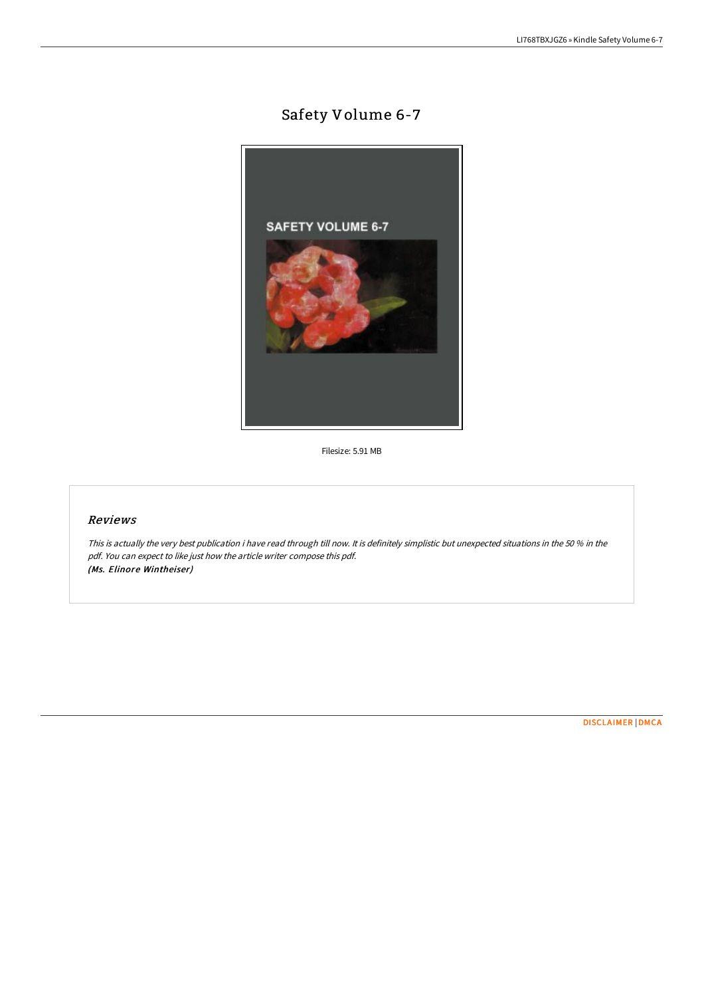# Safety Volume 6-7



Filesize: 5.91 MB

## Reviews

This is actually the very best publication i have read through till now. It is definitely simplistic but unexpected situations in the <sup>50</sup> % in the pdf. You can expect to like just how the article writer compose this pdf. (Ms. Elinore Wintheiser)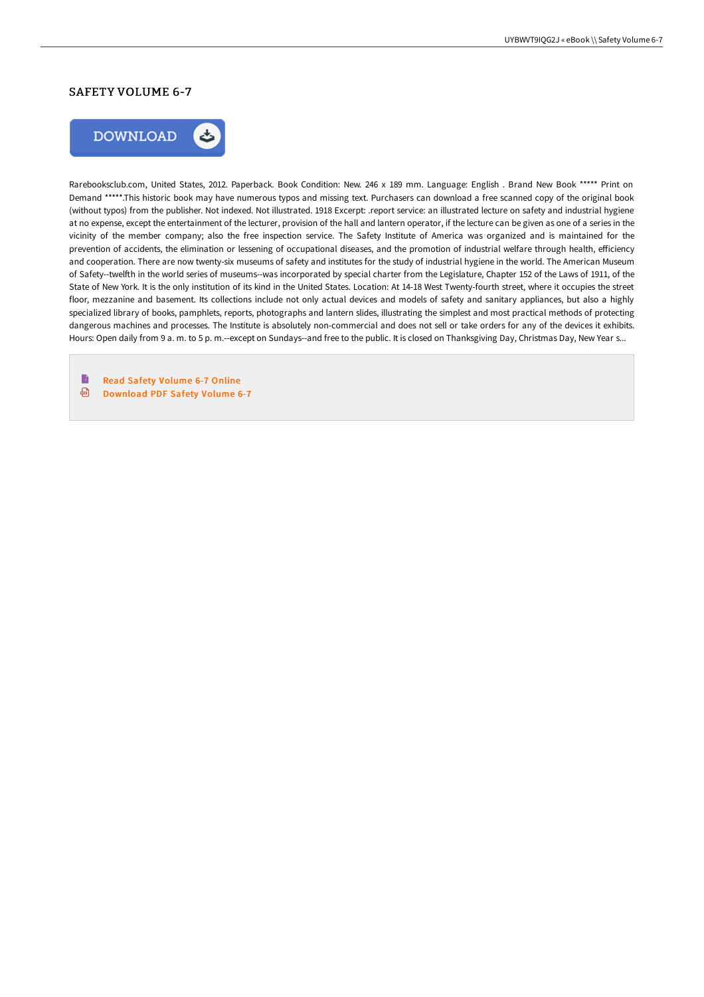## SAFETY VOLUME 6-7



Rarebooksclub.com, United States, 2012. Paperback. Book Condition: New. 246 x 189 mm. Language: English . Brand New Book \*\*\*\*\* Print on Demand \*\*\*\*\*.This historic book may have numerous typos and missing text. Purchasers can download a free scanned copy of the original book (without typos) from the publisher. Not indexed. Not illustrated. 1918 Excerpt: .report service: an illustrated lecture on safety and industrial hygiene at no expense, except the entertainment of the lecturer, provision of the hall and lantern operator, if the lecture can be given as one of a series in the vicinity of the member company; also the free inspection service. The Safety Institute of America was organized and is maintained for the prevention of accidents, the elimination or lessening of occupational diseases, and the promotion of industrial welfare through health, efficiency and cooperation. There are now twenty-six museums of safety and institutes for the study of industrial hygiene in the world. The American Museum of Safety--twelfth in the world series of museums--was incorporated by special charter from the Legislature, Chapter 152 of the Laws of 1911, of the State of New York. It is the only institution of its kind in the United States. Location: At 14-18 West Twenty-fourth street, where it occupies the street floor, mezzanine and basement. Its collections include not only actual devices and models of safety and sanitary appliances, but also a highly specialized library of books, pamphlets, reports, photographs and lantern slides, illustrating the simplest and most practical methods of protecting dangerous machines and processes. The Institute is absolutely non-commercial and does not sell or take orders for any of the devices it exhibits. Hours: Open daily from 9 a. m. to 5 p. m.--except on Sundays--and free to the public. It is closed on Thanksgiving Day, Christmas Day, New Year s...

B Read Safety [Volume](http://techno-pub.tech/safety-volume-6-7-paperback.html) 6-7 Online  $\bigoplus$ [Download](http://techno-pub.tech/safety-volume-6-7-paperback.html) PDF Safety Volume 6-7